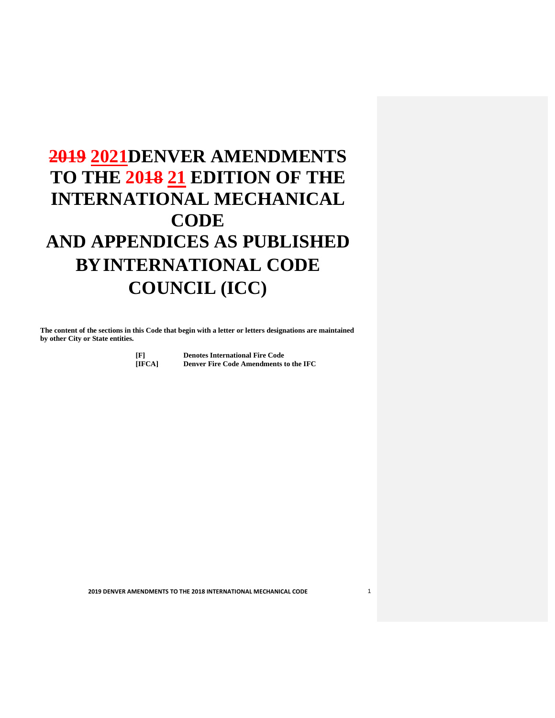# **TO THE 2018 21 EDITION OF THE 2019 2021DENVER AMENDMENTS INTERNATIONAL MECHANICAL CODE AND APPENDICES AS PUBLISHED BYINTERNATIONAL CODE COUNCIL (ICC)**

 **The content of the sections in this Code that begin with a letter or letters designations are maintained by other City or State entities.** 

 **[F] Denotes International Fire Code [IFCA] Denver Fire Code Amendments to the IFC**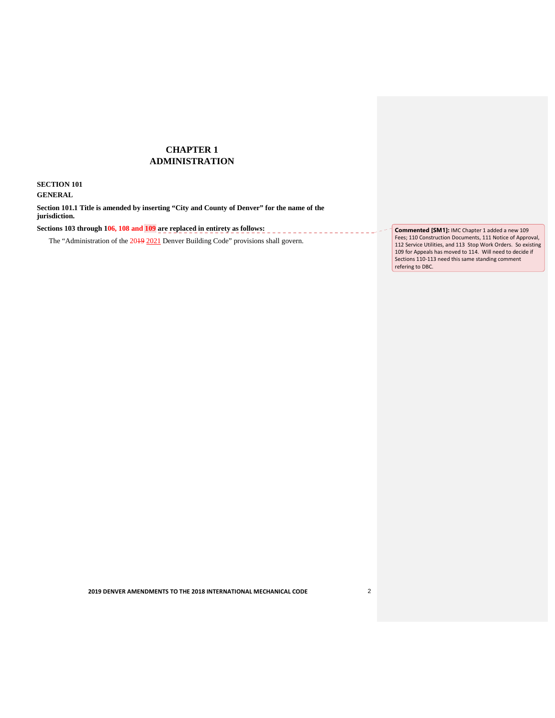# **CHAPTER 1 ADMINISTRATION**

**SECTION 101 GENERAL** 

**Section 101.1 Title is amended by inserting "City and County of Denver" for the name of the jurisdiction.** 

Sections 103 through 106, 108 and 109 are replaced in entirety as follows:

The "Administration of the 20<del>19</del> 2021 Denver Building Code" provisions shall govern.

 **Commented [SM1]:** IMC Chapter 1 added a new 109 Fees; 110 Construction Documents, 111 Notice of Approval, Sections 110-113 need this same standing comment refering to DBC. 112 Service Utilities, and 113 Stop Work Orders. So existing 109 for Appeals has moved to 114. Will need to decide if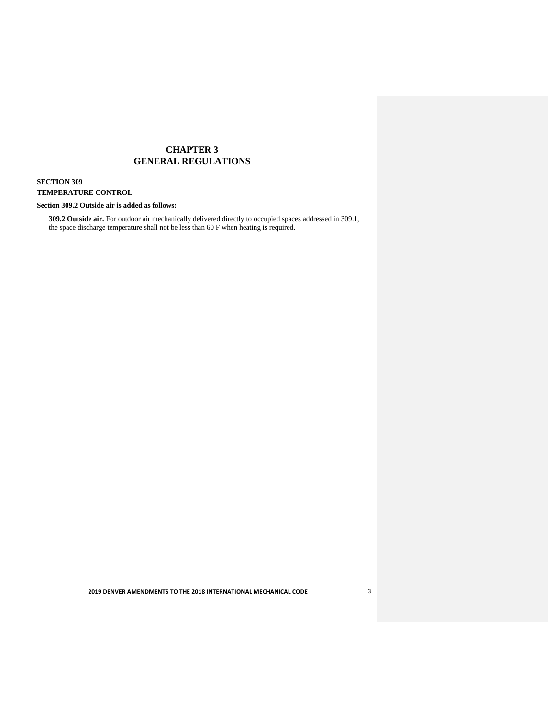# **CHAPTER 3 GENERAL REGULATIONS**

## **SECTION 309**

# **TEMPERATURE CONTROL**

## **Section 309.2 Outside air is added as follows:**

**309.2 Outside air.** For outdoor air mechanically delivered directly to occupied spaces addressed in 309.1, the space discharge temperature shall not be less than 60 F when heating is required.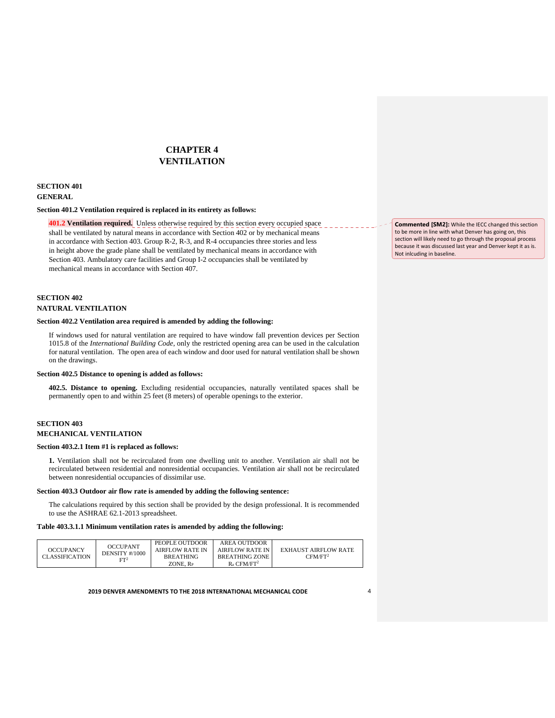# **CHAPTER 4 VENTILATION**

## **SECTION 401 GENERAL**

#### **Section 401.2 Ventilation required is replaced in its entirety as follows:**

**401.2 Ventilation required.** Unless otherwise required by this section every occupied space  shall be ventilated by natural means in accordance with Section 402 or by mechanical means in accordance with Section 403. Group R-2, R-3, and R-4 occupancies three stories and less in height above the grade plane shall be ventilated by mechanical means in accordance with Section 403. Ambulatory care facilities and Group I-2 occupancies shall be ventilated by mechanical means in accordance with Section 407.

# **SECTION 402 NATURAL VENTILATION**

#### **Section 402.2 Ventilation area required is amended by adding the following:**

 If windows used for natural ventilation are required to have window fall prevention devices per Section 1015.8 of the *International Building Code*, only the restricted opening area can be used in the calculation for natural ventilation. The open area of each window and door used for natural ventilation shall be shown on the drawings.

#### **Section 402.5 Distance to opening is added as follows:**

 **402.5. Distance to opening.** Excluding residential occupancies, naturally ventilated spaces shall be permanently open to and within 25 feet (8 meters) of operable openings to the exterior.

# **SECTION 403**

# **MECHANICAL VENTILATION**

#### **Section 403.2.1 Item #1 is replaced as follows:**

 **1.** Ventilation shall not be recirculated from one dwelling unit to another. Ventilation air shall not be recirculated between residential and nonresidential occupancies. Ventilation air shall not be recirculated between nonresidential occupancies of dissimilar use.

#### **Section 403.3 Outdoor air flow rate is amended by adding the following sentence:**

 The calculations required by this section shall be provided by the design professional. It is recommended to use the ASHRAE 62.1-2013 spreadsheet.

#### **Table 403.3.1.1 Minimum ventilation rates is amended by adding the following:**

|                       | OCCUPANT       | PEOPLE OUTDOOR       | AREA OUTDOOR              |                             |
|-----------------------|----------------|----------------------|---------------------------|-----------------------------|
| <b>OCCUPANCY</b>      | DENSITY #/1000 | AIRFLOW RATE IN      | AIRFLOW RATE IN           | <b>EXHAUST AIRFLOW RATE</b> |
| <b>CLASSIFICATION</b> | $FT^2$         | <b>BREATHING</b>     | <b>BREATHING ZONE</b>     | $\tt CFM/FT2$               |
|                       |                | ZONE. R <sub>p</sub> | $R_a$ CFM/FT <sup>2</sup> |                             |

#### **2019 DENVER AMENDMENTS TO THE 2018 INTERNATIONAL MECHANICAL CODE** 4

 **Commented [SM2]:** While the IECC changed this section to be more in line with what Denver has going on, this section will likely need to go through the proposal process because it was discussed last year and Denver kept it as is. Not inlcuding in baseline.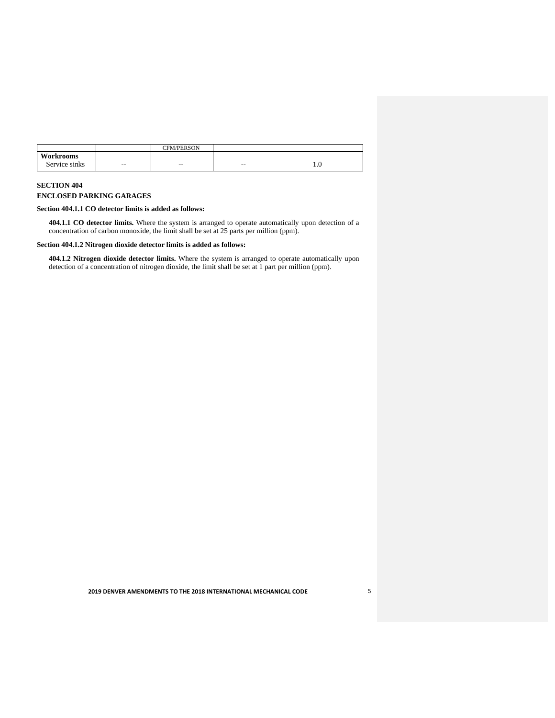|                    |       | <b>CFM/PERSON</b> |       |     |
|--------------------|-------|-------------------|-------|-----|
| Workrooms          |       |                   |       |     |
| .<br>service sinks | $- -$ | $- -$<br>--       | $- -$ | 1.V |

# **SECTION 404**

#### **ENCLOSED PARKING GARAGES**

## **Section 404.1.1 CO detector limits is added as follows:**

 **404.1.1 CO detector limits.** Where the system is arranged to operate automatically upon detection of a concentration of carbon monoxide, the limit shall be set at 25 parts per million (ppm).

## **Section 404.1.2 Nitrogen dioxide detector limits is added as follows:**

**404.1.2 Nitrogen dioxide detector limits.** Where the system is arranged to operate automatically upon detection of a concentration of nitrogen dioxide, the limit shall be set at 1 part per million (ppm).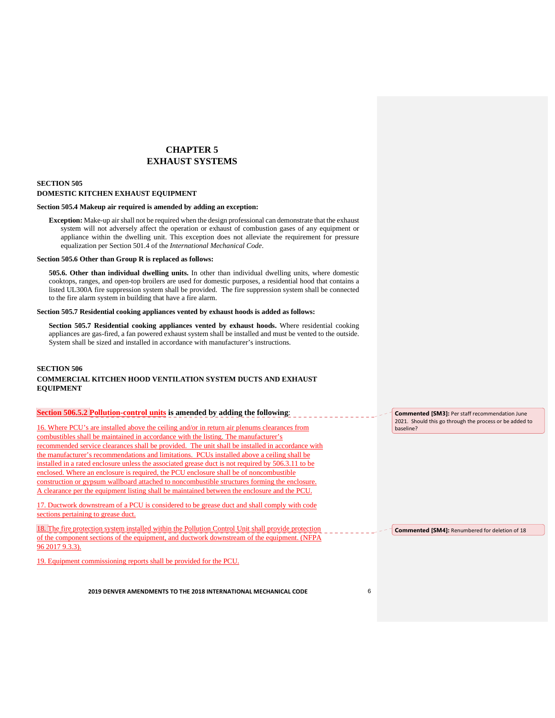# **CHAPTER 5 EXHAUST SYSTEMS**

## **SECTION 505**

## **DOMESTIC KITCHEN EXHAUST EQUIPMENT**

#### **Section 505.4 Makeup air required is amended by adding an exception:**

 **Exception:** Make-up air shall not be required when the design professional can demonstrate that the exhaust system will not adversely affect the operation or exhaust of combustion gases of any equipment or appliance within the dwelling unit. This exception does not alleviate the requirement for pressure equalization per Section 501.4 of the *International Mechanical Code*.

#### **Section 505.6 Other than Group R is replaced as follows:**

 **505.6. Other than individual dwelling units.** In other than individual dwelling units, where domestic cooktops, ranges, and open-top broilers are used for domestic purposes, a residential hood that contains a listed UL300A fire suppression system shall be provided. The fire suppression system shall be connected to the fire alarm system in building that have a fire alarm.

#### **Section 505.7 Residential cooking appliances vented by exhaust hoods is added as follows:**

Section 505.7 Residential cooking appliances vented by exhaust hoods. Where residential cooking appliances are gas-fired, a fan powered exhaust system shall be installed and must be vented to the outside. System shall be sized and installed in accordance with manufacturer's instructions.

#### **SECTION 506**

# **COMMERCIAL KITCHEN HOOD VENTILATION SYSTEM DUCTS AND EXHAUST EQUIPMENT**

## **Section 506.5.2 Pollution-control units is amended by adding the following**:

 16. Where PCU's are installed above the ceiling and/or in return air plenums clearances from combustibles shall be maintained in accordance with the listing. The manufacturer's recommended service clearances shall be provided. The unit shall be installed in accordance with the manufacturer's recommendations and limitations. PCUs installed above a ceiling shall be installed in a rated enclosure unless the associated grease duct is not required by 506.3.11 to be enclosed. Where an enclosure is required, the PCU enclosure shall be of noncombustible construction or gypsum wallboard attached to noncombustible structures forming the enclosure. A clearance per the equipment listing shall be maintained between the enclosure and the PCU.

 17. Ductwork downstream of a PCU is considered to be grease duct and shall comply with code sections pertaining to grease duct.

 18. The fire protection system installed within the Pollution Control Unit shall provide protection of the component sections of the equipment, and ductwork downstream of the equipment. (NFPA 96 2017 9.3.3).

19. Equipment commissioning reports shall be provided for the PCU.

 **2019 DENVER AMENDMENTS TO THE 2018 INTERNATIONAL MECHANICAL CODE** 6

 **Commented [SM3]:** Per staff recommendation June 2021. Should this go through the process or be added to baseline?

**Commented [SM4]:** Renumbered for deletion of 18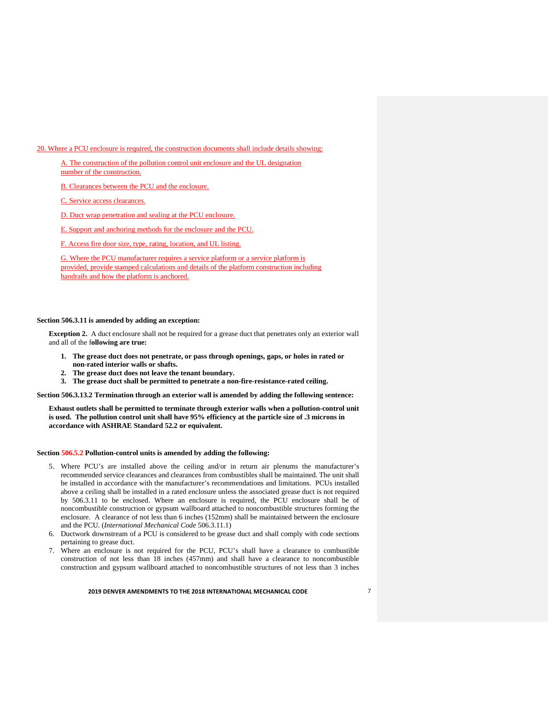20. Where a PCU enclosure is required, the construction documents shall include details showing:

 A. The construction of the pollution control unit enclosure and the UL designation number of the construction.

B. Clearances between the PCU and the enclosure.

C. Service access clearances.

D. Duct wrap penetration and sealing at the PCU enclosure.

E. Support and anchoring methods for the enclosure and the PCU.

F. Access fire door size, type, rating, location, and UL listing.

 G. Where the PCU manufacturer requires a service platform or a service platform is provided, provide stamped calculations and details of the platform construction including handrails and how the platform is anchored.

### **Section [506.3.11](https://506.3.11) is amended by adding an exception:**

**Exception 2.** A duct enclosure shall not be required for a grease duct that penetrates only an exterior wall and all of the f**ollowing are true:** 

- **1. The grease duct does not penetrate, or pass through openings, gaps, or holes in rated or non-rated interior walls or shafts.**
- **2. The grease duct does not leave the tenant boundary.**
- **3. The grease duct shall be permitted to penetrate a non-fire-resistance-rated ceiling.**

 **Section 506.3.13.2 Termination through an exterior wall is amended by adding the following sentence:** 

 **Exhaust outlets shall be permitted to terminate through exterior walls when a pollution-control unit is used. The pollution control unit shall have 95% efficiency at the particle size of .3 microns in accordance with ASHRAE Standard 52.2 or equivalent.** 

#### **Section 506.5.2 Pollution-control units is amended by adding the following:**

- 5. Where PCU's are installed above the ceiling and/or in return air plenums the manufacturer's recommended service clearances and clearances from combustibles shall be maintained. The unit shall be installed in accordance with the manufacturer's recommendations and limitations. PCUs installed above a ceiling shall be installed in a rated enclosure unless the associated grease duct is not required by [506.3.11](https://506.3.11) to be enclosed. Where an enclosure is required, the PCU enclosure shall be of noncombustible construction or gypsum wallboard attached to noncombustible structures forming the enclosure. A clearance of not less than 6 inches (152mm) shall be maintained between the enclosure and the PCU. (*International Mechanical Code* 506.3.11.1)
- 6. Ductwork downstream of a PCU is considered to be grease duct and shall comply with code sections pertaining to grease duct.
- 7. Where an enclosure is not required for the PCU, PCU's shall have a clearance to combustible construction of not less than 18 inches (457mm) and shall have a clearance to noncombustible construction and gypsum wallboard attached to noncombustible structures of not less than 3 inches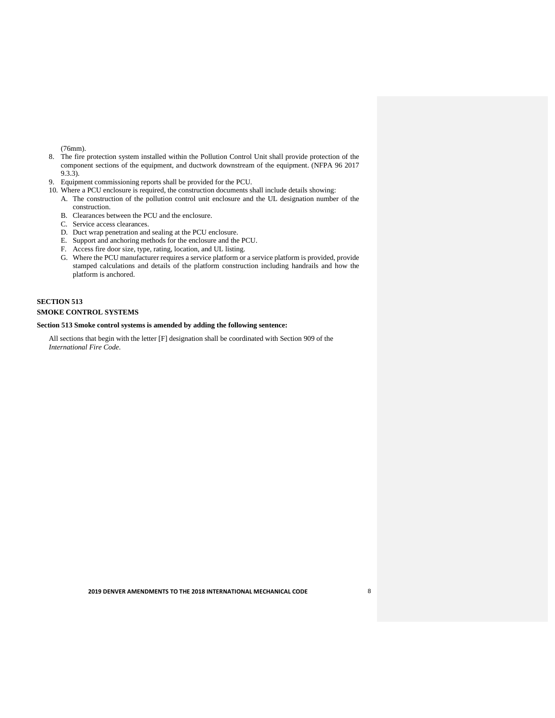(76mm).

- 8. The fire protection system installed within the Pollution Control Unit shall provide protection of the component sections of the equipment, and ductwork downstream of the equipment. (NFPA 96 2017 9.3.3).
- 9. Equipment commissioning reports shall be provided for the PCU.
- 10. Where a PCU enclosure is required, the construction documents shall include details showing:
	- A. The construction of the pollution control unit enclosure and the UL designation number of the construction.
	- B. Clearances between the PCU and the enclosure.
	- C. Service access clearances.
	- D. Duct wrap penetration and sealing at the PCU enclosure.
	- E. Support and anchoring methods for the enclosure and the PCU.
	- F. Access fire door size, type, rating, location, and UL listing.
	- G. Where the PCU manufacturer requires a service platform or a service platform is provided, provide stamped calculations and details of the platform construction including handrails and how the platform is anchored.

## **SECTION 513**

# **SMOKE CONTROL SYSTEMS**

#### **Section 513 Smoke control systems is amended by adding the following sentence:**

 All sections that begin with the letter [F] designation shall be coordinated with Section 909 of the  *International Fire Code*.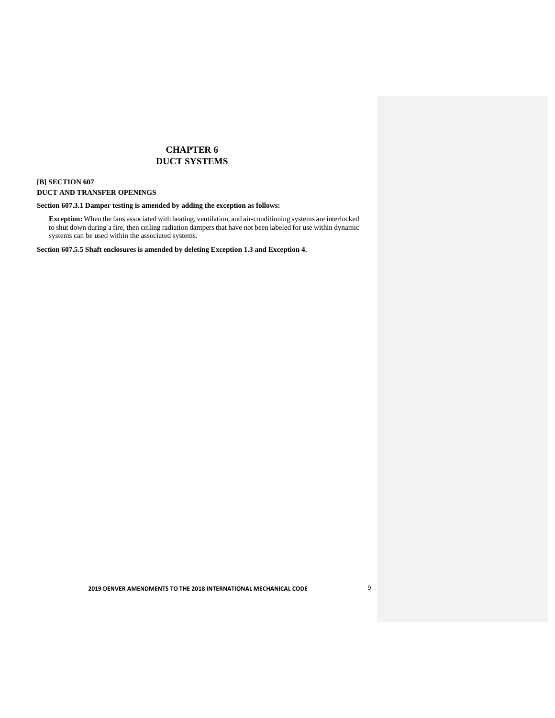# **CHAPTER 6 DUCT SYSTEMS**

# **[B] SECTION 607 DUCT AND TRANSFER OPENINGS**

#### **Section 607.3.1 Damper testing is amended by adding the exception as follows:**

 **Exception:** When the fans associated with heating, ventilation, and air-conditioning systems are interlocked to shut down during a fire, then ceiling radiation dampers that have not been labeled for use within dynamic systems can be used within the associated systems.

 **Section 607.5.5 Shaft enclosures is amended by deleting Exception 1.3 and Exception 4.**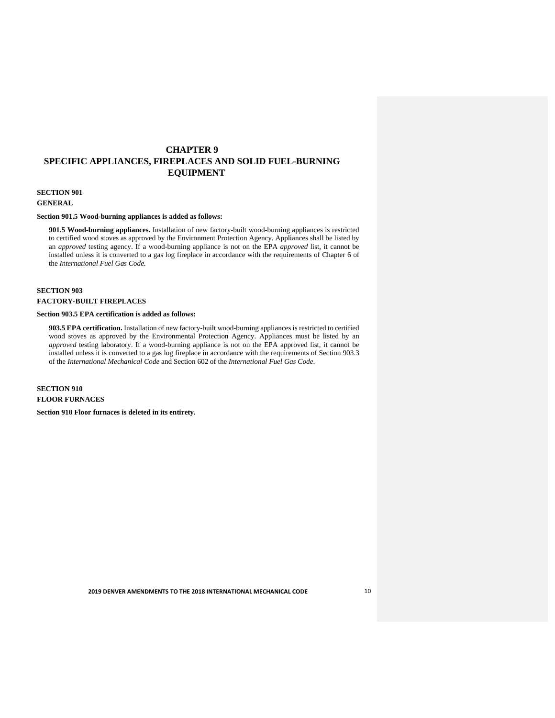# **CHAPTER 9 SPECIFIC APPLIANCES, FIREPLACES AND SOLID FUEL-BURNING EQUIPMENT**

# **SECTION 901**

# **GENERAL**

## **Section 901.5 Wood-burning appliances is added as follows:**

 **901.5 Wood-burning appliances.** Installation of new factory-built wood-burning appliances is restricted to certified wood stoves as approved by the Environment Protection Agency. Appliances shall be listed by an *approved* testing agency. If a wood-burning appliance is not on the EPA *approved* list, it cannot be installed unless it is converted to a gas log fireplace in accordance with the requirements of Chapter 6 of  the *International Fuel Gas Code.* 

# **SECTION 903**

## **FACTORY-BUILT FIREPLACES**

## **Section 903.5 EPA certification is added as follows:**

 **903.5 EPA certification.** Installation of new factory-built wood-burning appliances is restricted to certified wood stoves as approved by the Environmental Protection Agency. Appliances must be listed by an *approved* testing laboratory. If a wood-burning appliance is not on the EPA approved list, it cannot be installed unless it is converted to a gas log fireplace in accordance with the requirements of Section 903.3  of the *International Mechanical Code* and Section 602 of the *International Fuel Gas Code*.

# **SECTION 910 FLOOR FURNACES**

 **Section 910 Floor furnaces is deleted in its entirety.**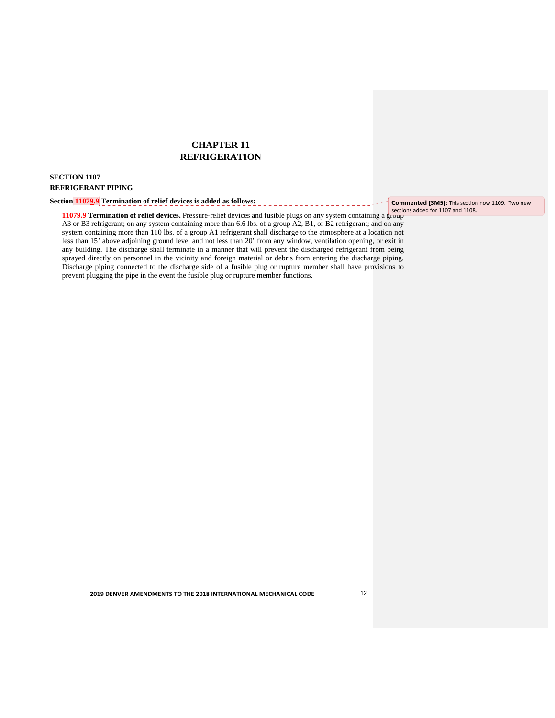# **CHAPTER 11 REFRIGERATION**

# **SECTION 1107 REFRIGERANT PIPING**

## Section 11079.9 Termination of relief devices is added as follows:

**11079.9 Termination of relief devices.** Pressure-relief devices and fusible plugs on any system containing a group A3 or B3 refrigerant; on any system containing more than 6.6 lbs. of a group A2, B1, or B2 refrigerant; and on any system containing more than 110 lbs. of a group A1 refrigerant shall discharge to the atmosphere at a location not less than 15' above adjoining ground level and not less than 20' from any window, ventilation opening, or exit in any building. The discharge shall terminate in a manner that will prevent the discharged refrigerant from being sprayed directly on personnel in the vicinity and foreign material or debris from entering the discharge piping. Discharge piping connected to the discharge side of a fusible plug or rupture member shall have provisions to prevent plugging the pipe in the event the fusible plug or rupture member functions.

 **Commented [SM5]:** This section now 1109. Two new

 $- - - - - - -$